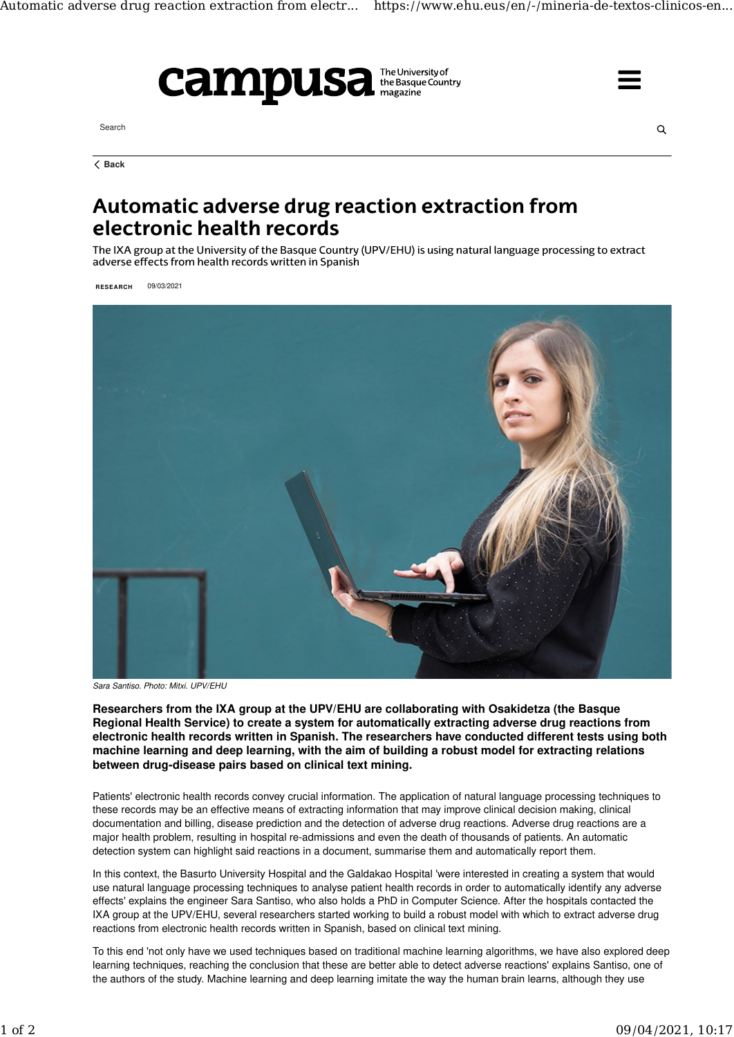

Search



**Back**

## Automatic adverse drug reaction extraction from electronic health records

The IXA group at the University of the Basque Country (UPV/EHU) is using natural language processing to extract adverse effects from health records written in Spanish

**RESEARCH** 09/03/2021



*Sara Santiso. Photo: Mitxi. UPV/EHU*

**Researchers from the IXA group at the UPV/EHU are collaborating with Osakidetza (the Basque Regional Health Service) to create a system for automatically extracting adverse drug reactions from electronic health records written in Spanish. The researchers have conducted different tests using both machine learning and deep learning, with the aim of building a robust model for extracting relations between drug-disease pairs based on clinical text mining.**

Patients' electronic health records convey crucial information. The application of natural language processing techniques to these records may be an effective means of extracting information that may improve clinical decision making, clinical documentation and billing, disease prediction and the detection of adverse drug reactions. Adverse drug reactions are a major health problem, resulting in hospital re-admissions and even the death of thousands of patients. An automatic detection system can highlight said reactions in a document, summarise them and automatically report them.

In this context, the Basurto University Hospital and the Galdakao Hospital 'were interested in creating a system that would use natural language processing techniques to analyse patient health records in order to automatically identify any adverse effects' explains the engineer Sara Santiso, who also holds a PhD in Computer Science. After the hospitals contacted the IXA group at the UPV/EHU, several researchers started working to build a robust model with which to extract adverse drug reactions from electronic health records written in Spanish, based on clinical text mining.

To this end 'not only have we used techniques based on traditional machine learning algorithms, we have also explored deep learning techniques, reaching the conclusion that these are better able to detect adverse reactions' explains Santiso, one of the authors of the study. Machine learning and deep learning imitate the way the human brain learns, although they use